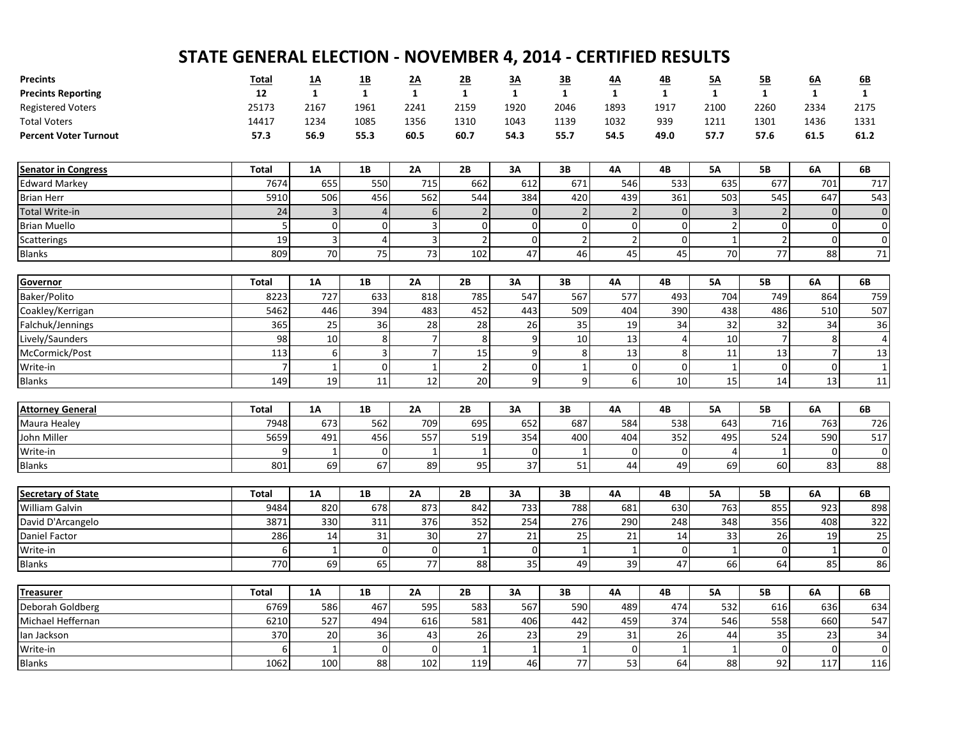| <b>Precints</b>              | Total          | <u>1A</u>    | $\underline{1B}$ | 2A                       | 2B                       | 3A               | 3B           | <u>4A</u>      | 4B           | 5A             | 5B               | 6A             | 6B             |
|------------------------------|----------------|--------------|------------------|--------------------------|--------------------------|------------------|--------------|----------------|--------------|----------------|------------------|----------------|----------------|
| <b>Precints Reporting</b>    | 12             | $\mathbf{1}$ | $\mathbf{1}$     | $\mathbf{1}$             | $\mathbf{1}$             | $\mathbf{1}$     | $\mathbf{1}$ | $\mathbf{1}$   | $\mathbf{1}$ | $\mathbf{1}$   | $\mathbf{1}$     | $\mathbf{1}$   | $\mathbf{1}$   |
| <b>Registered Voters</b>     | 25173          | 2167         | 1961             | 2241                     | 2159                     | 1920             | 2046         | 1893           | 1917         | 2100           | 2260             | 2334           | 2175           |
| <b>Total Voters</b>          | 14417          | 1234         | 1085             | 1356                     | 1310                     | 1043             | 1139         | 1032           | 939          | 1211           | 1301             | 1436           | 1331           |
| <b>Percent Voter Turnout</b> | 57.3           | 56.9         | 55.3             | 60.5                     | 60.7                     | 54.3             | 55.7         | 54.5           | 49.0         | 57.7           | 57.6             | 61.5           | 61.2           |
| <b>Senator in Congress</b>   | <b>Total</b>   | 1A           | 1B               | 2A                       | 2B                       | 3A               | 3B           | <b>4A</b>      | 4B           | <b>5A</b>      | <b>5B</b>        | 6A             | 6B             |
| <b>Edward Markey</b>         | 7674           | 655          | 550              | 715                      | 662                      | 612              | 671          | 546            | 533          | 635            | 677              | 701            | 717            |
| <b>Brian Herr</b>            | 5910           | 506          | 456              | 562                      | 544                      | 384              | 420          | 439            | 361          | 503            | 545              | 647            | 543            |
| Total Write-in               | 24             | 3            | $\overline{4}$   | $6\phantom{1}6$          | $\overline{\phantom{0}}$ | $\mathbf{0}$     | $\sqrt{2}$   | $\sqrt{2}$     | $\mathbf{0}$ | $\overline{3}$ | $\overline{2}$   | $\mathbf{0}$   | $\pmb{0}$      |
| <b>Brian Muello</b>          | 5              | 0            | $\overline{0}$   | 3                        | $\Omega$                 | $\pmb{0}$        | $\mathbf 0$  | $\mathbf 0$    | 0            | $\overline{2}$ | $\mathbf 0$      | $\overline{0}$ | $\mathbf 0$    |
| Scatterings                  | 19             | 3            | $\overline{4}$   | $\overline{3}$           | $\overline{2}$           | $\overline{0}$   | $\mathbf 2$  | $\overline{2}$ | 0            | 1              | $\overline{2}$   | $\overline{0}$ | $\pmb{0}$      |
| <b>Blanks</b>                | 809            | 70           | 75               | 73                       | 102                      | 47               | 46           | 45             | 45           | 70             | 77               | 88             | $71\,$         |
| Governor                     | <b>Total</b>   | <b>1A</b>    | 1B               | 2A                       | 2B                       | 3A               | 3B           | 4А             | 4B           | <b>5A</b>      | <b>5B</b>        | 6A             | 6B             |
| Baker/Polito                 | 8223           | 727          | 633              | 818                      | 785                      | 547              | 567          | 577            | 493          | 704            | 749              | 864            | 759            |
| Coakley/Kerrigan             | 5462           | 446          | 394              | 483                      | 452                      | 443              | 509          | 404            | 390          | 438            | 486              | 510            | 507            |
| Falchuk/Jennings             | 365            | 25           | 36               | 28                       | 28                       | 26               | 35           | 19             | 34           | 32             | 32               | 34             | 36             |
| Lively/Saunders              | 98             | $10\,$       | 8                | $\overline{7}$           | 8                        | $\boldsymbol{9}$ | $10\,$       | 13             | 4            | 10             | $\overline{7}$   | 8              | $\overline{4}$ |
| McCormick/Post               | 113            | 6            | 3                | $\overline{\phantom{a}}$ | 15                       | $\overline{9}$   | 8            | 13             | 8            | 11             | 13               | $\overline{7}$ | 13             |
| Write-in                     | $\overline{7}$ | $\mathbf{1}$ | $\Omega$         | $\mathbf{1}$             | $\overline{2}$           | $\overline{0}$   | $\mathbf 1$  | $\mathbf 0$    | 0            | $\overline{1}$ | $\boldsymbol{0}$ | $\overline{0}$ | $\mathbf{1}$   |
| <b>Blanks</b>                | 149            | 19           | 11               | 12                       | 20                       | $\vert$          | 9            | 6              | 10           | 15             | 14               | 13             | 11             |
|                              |                |              |                  |                          |                          |                  |              |                |              |                |                  |                |                |
| <b>Attorney General</b>      | <b>Total</b>   | 1A           | 1B               | 2A                       | 2B                       | 3A               | 3B           | <b>4A</b>      | 4B           | <b>5A</b>      | <b>5B</b>        | 6A             | 6B             |
| Maura Healey                 | 7948           | 673          | 562              | 709                      | 695                      | 652              | 687          | 584            | 538          | 643            | 716              | 763            | 726            |
| John Miller                  | 5659           | 491          | 456              | 557                      | 519                      | 354              | 400          | 404            | 352          | 495            | 524              | 590            | 517            |
| Write-in                     | 9              | 1            | $\overline{0}$   | 1                        | $\mathbf{1}$             | $\pmb{0}$        | 1            | $\mathbf 0$    | 0            | 4              | $\mathbf{1}$     | $\mathbf 0$    | $\mathbf 0$    |
| <b>Blanks</b>                | 801            | 69           | 67               | 89                       | 95                       | $\overline{37}$  | 51           | 44             | 49           | 69             | 60               | 83             | 88             |
| <b>Secretary of State</b>    | <b>Total</b>   | <b>1A</b>    | 1B               | 2A                       | 2B                       | 3A               | 3B           | 4A             | 4B           | <b>5A</b>      | <b>5B</b>        | 6A             | 6B             |
| William Galvin               | 9484           | 820          | 678              | 873                      | 842                      | 733              | 788          | 681            | 630          | 763            | 855              | 923            | 898            |
| David D'Arcangelo            | 3871           | 330          | 311              | 376                      | 352                      | 254              | 276          | 290            | 248          | 348            | 356              | 408            | 322            |
| Daniel Factor                | 286            | 14           | 31               | 30                       | 27                       | 21               | 25           | 21             | 14           | 33             | 26               | 19             | 25             |
| Write-in                     | 6              | $\mathbf{1}$ | $\overline{0}$   | $\mathbf 0$              | $\mathbf 1$              | $\pmb{0}$        | 1            | $\mathbf{1}$   | 0            | $\mathbf{1}$   | $\mathbf 0$      | 1              | $\mathbf 0$    |
| <b>Blanks</b>                | 770            | 69           | 65               | 77                       | 88                       | 35               | 49           | 39             | 47           | 66             | 64               | 85             | 86             |
|                              |                |              |                  |                          |                          |                  |              |                |              |                |                  |                |                |
| <b>Treasurer</b>             | <b>Total</b>   | 1A           | 1B               | 2A                       | 2B                       | 3A               | 3B           | <b>4A</b>      | 4B           | <b>5A</b>      | <b>5B</b>        | 6A             | 6B             |
| Deborah Goldberg             | 6769           | 586          | 467              | 595                      | 583                      | 567              | 590          | 489            | 474          | 532            | 616              | 636            | 634            |
| Michael Heffernan            | 6210           | 527          | 494              | 616                      | 581                      | 406              | 442          | 459            | 374          | 546            | 558              | 660            | 547            |
| lan Jackson                  | 370            | $20\,$       | 36               | 43                       | 26                       | 23               | 29           | 31             | 26           | 44             | 35               | 23             | 34             |
| Write-in                     | 6              | 1            | $\mathbf 0$      | $\mathbf 0$              | $\mathbf{1}$             | $\mathbf{1}$     | $\mathbf{1}$ | $\mathbf 0$    | $\mathbf{1}$ | $\mathbf{1}$   | $\boldsymbol{0}$ | $\overline{0}$ | $\pmb{0}$      |
| <b>Blanks</b>                | 1062           | 100          | 88               | 102                      | 119                      | 46               | 77           | 53             | 64           | 88             | 92               | 117            | 116            |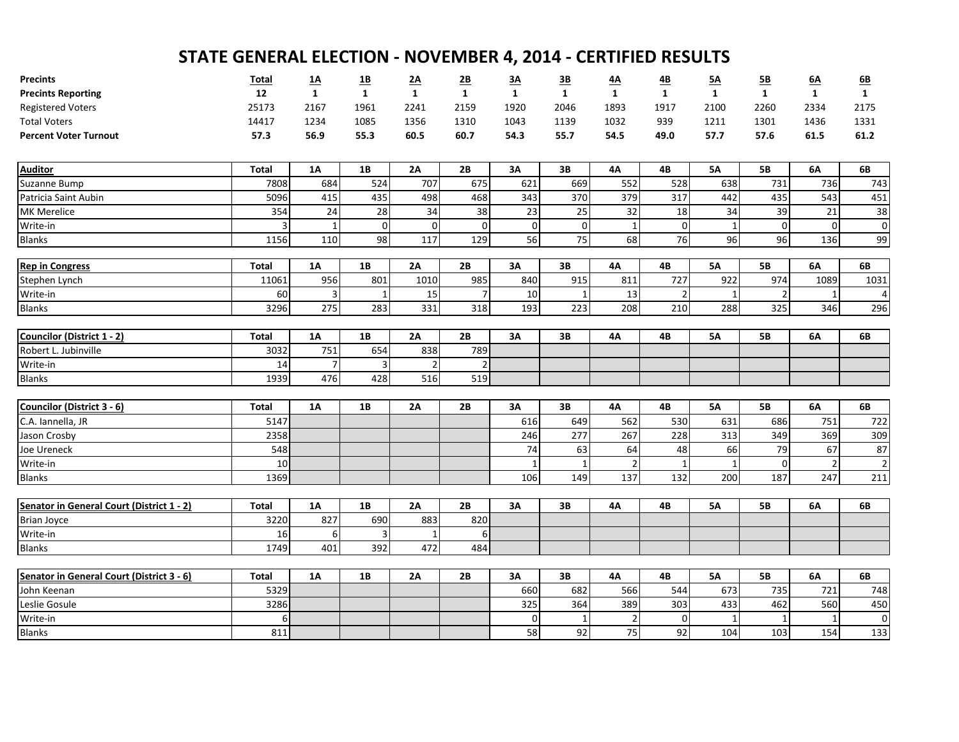| <b>Precints</b>                           | <b>Total</b>         | <u>1A</u>        | <u>1B</u>      | <u>2A</u>      | 2B           | 3A           | 3B           | <u>4A</u>      | <u>4B</u>      | <u>5A</u>    | 5B             | 6A             | 6B             |
|-------------------------------------------|----------------------|------------------|----------------|----------------|--------------|--------------|--------------|----------------|----------------|--------------|----------------|----------------|----------------|
| <b>Precints Reporting</b>                 | 12                   | $\mathbf{1}$     | $\mathbf{1}$   | $\mathbf{1}$   | $\mathbf{1}$ | $\mathbf{1}$ | $\mathbf{1}$ | $\mathbf{1}$   | $\mathbf{1}$   | $\mathbf{1}$ | $\mathbf{1}$   | $\mathbf{1}$   | $\mathbf{1}$   |
| <b>Registered Voters</b>                  | 25173                | 2167             | 1961           | 2241           | 2159         | 1920         | 2046         | 1893           | 1917           | 2100         | 2260           | 2334           | 2175           |
| <b>Total Voters</b>                       | 14417                | 1234             | 1085           | 1356           | 1310         | 1043         | 1139         | 1032           | 939            | 1211         | 1301           | 1436           | 1331           |
| <b>Percent Voter Turnout</b>              | 57.3                 | 56.9             | 55.3           | 60.5           | 60.7         | 54.3         | 55.7         | 54.5           | 49.0           | 57.7         | 57.6           | 61.5           | 61.2           |
| <b>Auditor</b>                            | <b>Total</b>         | <b>1A</b>        | 1B             | 2A             | 2B           | 3A           | 3В           | 4A             | 4B             | <b>5A</b>    | <b>5B</b>      | 6A             | 6B             |
| Suzanne Bump                              | 7808                 | 684              | 524            | 707            | 675          | 621          | 669          | 552            | 528            | 638          | 731            | 736            | 743            |
| Patricia Saint Aubin                      | 5096                 | 415              | 435            | 498            | 468          | 343          | 370          | 379            | 317            | 442          | 435            | 543            | 451            |
| MK Merelice                               | 354                  | 24               | 28             | 34             | 38           | 23           | 25           | 32             | 18             | 34           | 39             | 21             | 38             |
| Write-in                                  | 3                    | 1                | $\mathbf 0$    | 0              | $\Omega$     | $\mathbf 0$  | $\mathbf 0$  | 1              | 0              | $\mathbf{1}$ | $\mathbf 0$    | $\mathbf 0$    | $\mathbf 0$    |
| <b>Blanks</b>                             | 1156                 | 110              | 98             | 117            | 129          | 56           | 75           | 68             | 76             | 96           | 96             | 136            | 99             |
| <b>Rep in Congress</b>                    | <b>Total</b>         | <b>1A</b>        | 1B             | 2A             | 2B           | 3A           | 3B           | 4Α             | 4B             | <b>5A</b>    | <b>5B</b>      | 6A             | 6B             |
| Stephen Lynch                             | 11061                | 956              | 801            | 1010           | 985          | 840          | 915          | 811            | 727            | 922          | 974            | 1089           | 1031           |
| Write-in                                  | 60                   | 3                | 1              | 15             |              | 10           | 1            | 13             | $\overline{2}$ | $\mathbf 1$  | $\overline{2}$ | $\mathbf 1$    | $\overline{4}$ |
| <b>Blanks</b>                             | 3296                 | 275              | 283            | 331            | 318          | 193          | 223          | 208            | 210            | 288          | 325            | 346            | 296            |
|                                           |                      |                  |                |                |              |              |              |                |                |              |                |                |                |
| Councilor (District 1 - 2)                | <b>Total</b>         | 1A               | 1B             | 2A             | 2B           | 3A           | 3B           | 4A             | 4B             | <b>5A</b>    | <b>5B</b>      | 6A             | 6B             |
| Robert L. Jubinville                      | 3032                 | 751              | 654            | 838            | 789          |              |              |                |                |              |                |                |                |
| Write-in                                  | 14                   | $\overline{7}$   | $\overline{3}$ | $\overline{2}$ |              |              |              |                |                |              |                |                |                |
| <b>Blanks</b>                             | 1939                 | 476              | 428            | 516            | 519          |              |              |                |                |              |                |                |                |
| Councilor (District 3 - 6)                | <b>Total</b>         | 1A               | 1B             | 2A             | 2B           | 3A           | 3В           | 4Α             | 4B             | <b>5A</b>    | 5В             | 6A             | 6B             |
| C.A. Iannella, JR                         | 5147                 |                  |                |                |              | 616          | 649          | 562            | 530            | 631          | 686            | 751            | 722            |
| Jason Crosby                              | 2358                 |                  |                |                |              | 246          | 277          | 267            | 228            | 313          | 349            | 369            | 309            |
| Joe Ureneck                               | 548                  |                  |                |                |              | 74           | 63           | 64             | 48             | 66           | 79             | 67             | 87             |
| Write-in                                  | 10                   |                  |                |                |              | $\mathbf{1}$ | $\mathbf{1}$ | $\overline{2}$ | $\mathbf{1}$   |              | $\Omega$       | $\overline{2}$ | $\overline{2}$ |
| <b>Blanks</b>                             | 1369                 |                  |                |                |              | 106          | 149          | 137            | 132            | 200          | 187            | 247            | 211            |
|                                           |                      |                  |                |                | 2B           | 3A           | 3B           |                |                |              | <b>5B</b>      |                | 6B             |
| Senator in General Court (District 1 - 2) | <b>Total</b><br>3220 | <b>1A</b><br>827 | 1B<br>690      | 2A<br>883      | 820          |              |              | 4А             | 4B             | <b>5A</b>    |                | 6A             |                |
| <b>Brian Joyce</b>                        | 16                   |                  | 3              | 1              | 6            |              |              |                |                |              |                |                |                |
| Write-in<br><b>Blanks</b>                 | 1749                 | 6<br>401         | 392            | 472            | 484          |              |              |                |                |              |                |                |                |
|                                           |                      |                  |                |                |              |              |              |                |                |              |                |                |                |
| Senator in General Court (District 3 - 6) | <b>Total</b>         | <b>1A</b>        | <b>1B</b>      | 2A             | 2B           | 3A           | 3B           | <b>4A</b>      | 4B             | <b>5A</b>    | <b>5B</b>      | 6A             | 6B             |
| John Keenan                               | 5329                 |                  |                |                |              | 660          | 682          | 566            | 544            | 673          | 735            | 721            | 748            |
| Leslie Gosule                             | 3286                 |                  |                |                |              | 325          | 364          | 389            | 303            | 433          | 462            | 560            | 450            |
| Write-in                                  | 6                    |                  |                |                |              | $\mathbf 0$  | 1            | $\overline{2}$ | 0              | 1            | $\mathbf{1}$   |                | $\mathbf 0$    |
| <b>Blanks</b>                             | 811                  |                  |                |                |              | 58           | 92           | 75             | 92             | 104          | 103            | 154            | 133            |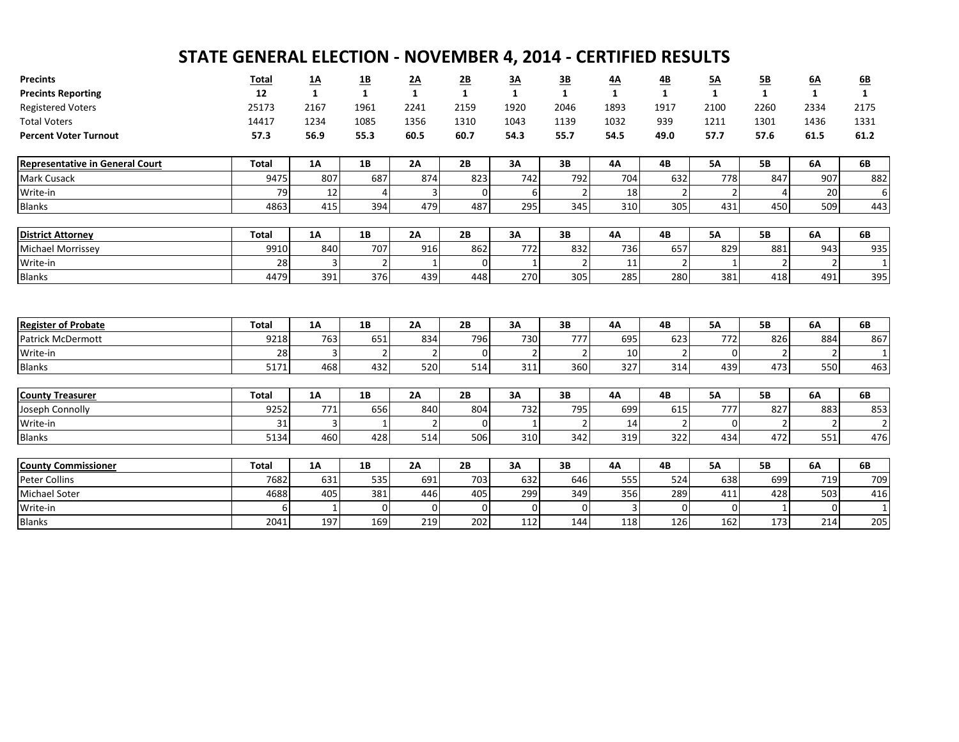| <b>Precints</b>                        | <b>Total</b> | <u>1A</u> | <u>1B</u>      | 2A             | $\underline{\mathbf{2B}}$ | <u>3A</u>   | <u>3B</u>      | <u>4A</u>      | <u>4B</u>      | <u>5A</u>      | <u>5B</u>      | <u>6A</u>    | 6B             |
|----------------------------------------|--------------|-----------|----------------|----------------|---------------------------|-------------|----------------|----------------|----------------|----------------|----------------|--------------|----------------|
| <b>Precints Reporting</b>              | 12           | 1         | $\mathbf{1}$   | $\mathbf{1}$   | $\mathbf{1}$              | 1           | $\mathbf{1}$   | 1              | $\mathbf{1}$   | $\mathbf{1}$   | $\mathbf{1}$   | $\mathbf{1}$ | $\mathbf{1}$   |
| <b>Registered Voters</b>               | 25173        | 2167      | 1961           | 2241           | 2159                      | 1920        | 2046           | 1893           | 1917           | 2100           | 2260           | 2334         | 2175           |
| <b>Total Voters</b>                    | 14417        | 1234      | 1085           | 1356           | 1310                      | 1043        | 1139           | 1032           | 939            | 1211           | 1301           | 1436         | 1331           |
| <b>Percent Voter Turnout</b>           | 57.3         | 56.9      | 55.3           | 60.5           | 60.7                      | 54.3        | 55.7           | 54.5           | 49.0           | 57.7           | 57.6           | 61.5         | 61.2           |
| <b>Representative in General Court</b> | <b>Total</b> | <b>1A</b> | 1B             | 2A             | 2B                        | 3A          | 3B             | 4A             | 4B             | <b>5A</b>      | <b>5B</b>      | <b>6A</b>    | 6B             |
| Mark Cusack                            | 9475         | 807       | 687            | 874            | 823                       | 742         | 792            | 704            | 632            | 778            | 847            | 907          | 882            |
| Write-in                               | 79           | 12        | 4              | 3              | $\Omega$                  | 6           | $\overline{2}$ | 18             | 2              | 2              | 4              | 20           | 6              |
| <b>Blanks</b>                          | 4863         | 415       | 394            | 479            | 487                       | 295         | 345            | 310            | 305            | 431            | 450            | 509          | 443            |
|                                        |              |           |                |                |                           |             |                |                |                |                |                |              |                |
| <b>District Attorney</b>               | <b>Total</b> | <b>1A</b> | 1B             | 2A             | 2B                        | 3A          | 3B             | <b>4A</b>      | 4B             | <b>5A</b>      | <b>5B</b>      | <b>6A</b>    | 6B             |
| Michael Morrissey                      | 9910         | 840       | 707            | 916            | 862                       | 772         | 832            | 736            | 657            | 829            | 881            | 943          | 935            |
| Write-in                               | 28           |           | 2              | 1              | $\Omega$                  |             | $\overline{2}$ | 11             | 2              | $\mathbf 1$    | $\overline{2}$ |              |                |
| <b>Blanks</b>                          | 4479         | 391       | 376            | 439            | 448                       | 270         | 305            | 285            | 280            | 381            | 418            | 491          | 395            |
| <b>Register of Probate</b>             | <b>Total</b> | 1A        | 1B             | 2A             | 2B                        | 3A          | 3B             | 4А             | 4B             | <b>5A</b>      | <b>5B</b>      | 6A           | 6B             |
| <b>Patrick McDermott</b>               | 9218         | 763       | 651            | 834            | 796                       | 730         | 777            | 695            | 623            | 772            | 826            | 884          | 867            |
| Write-in                               | 28           | 3         | $\overline{2}$ | 2              | 0                         |             | $\overline{2}$ | 10             | 2              | $\overline{0}$ | $\overline{2}$ |              | $\mathbf{1}$   |
| <b>Blanks</b>                          | 5171         | 468       | 432            | 520            | 514                       | 311         | 360            | 327            | 314            | 439            | 473            | 550          | 463            |
|                                        |              |           |                |                |                           |             |                |                |                |                |                |              |                |
| <b>County Treasurer</b>                | <b>Total</b> | <b>1A</b> | 1B             | 2A             | 2B                        | 3A          | 3B             | <b>4A</b>      | 4B             | <b>5A</b>      | <b>5B</b>      | <b>6A</b>    | 6B             |
| Joseph Connolly                        | 9252         | 771       | 656            | 840            | 804                       | 732         | 795            | 699            | 615            | 777            | 827            | 883          | 853            |
| Write-in                               | 31           | 3         | $\mathbf 1$    | $\overline{2}$ | $\Omega$                  |             | $\overline{2}$ | 14             | $\overline{2}$ | $\overline{0}$ | $\overline{2}$ |              | $\overline{2}$ |
| <b>Blanks</b>                          | 5134         | 460       | 428            | 514            | 506                       | 310         | 342            | 319            | 322            | 434            | 472            | 551          | 476            |
|                                        |              |           |                |                |                           |             |                |                |                |                |                |              |                |
| <b>County Commissioner</b>             | <b>Total</b> | <b>1A</b> | 1B             | 2A             | 2B                        | 3A          | 3B             | 4A             | 4B             | <b>5A</b>      | <b>5B</b>      | 6A           | 6B             |
| <b>Peter Collins</b>                   | 7682         | 631       | 535            | 691            | 703                       | 632         | 646            | 555            | 524            | 638            | 699            | 719          | 709            |
| <b>Michael Soter</b>                   | 4688         | 405       | 381            | 446            | 405                       | 299         | 349            | 356            | 289            | 411            | 428            | 503          | 416            |
| Write-in                               | 6            |           | $\Omega$       | $\overline{0}$ | $\Omega$                  | $\mathbf 0$ | 0              | $\overline{3}$ | 0              | $\Omega$       | $\mathbf{1}$   |              | $\mathbf{1}$   |
| <b>Blanks</b>                          | 2041         | 197       | 169            | 219            | 202                       | 112         | 144            | 118            | 126            | 162            | 173            | 214          | 205            |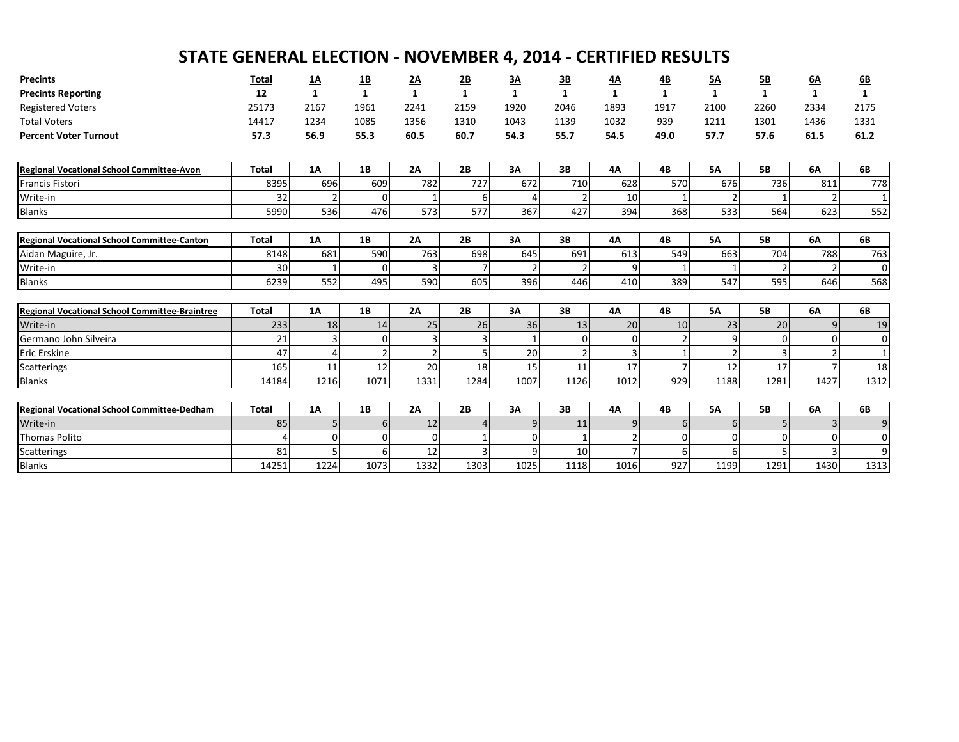| <b>Precints</b>                                       | <b>Total</b>            | <u>1A</u>    | <u>1B</u>      | 2A             | $\underline{\mathsf{2B}}$ | <u>3A</u>      | <u>3B</u>      | <u>4A</u>      | <u>4B</u>      | <u>5A</u>      | <u>5B</u>      | 6A           | <u>6B</u>    |
|-------------------------------------------------------|-------------------------|--------------|----------------|----------------|---------------------------|----------------|----------------|----------------|----------------|----------------|----------------|--------------|--------------|
| <b>Precints Reporting</b>                             | 12                      | $\mathbf{1}$ | $\mathbf{1}$   | $\mathbf{1}$   | $\mathbf{1}$              | $\mathbf{1}$   | $\mathbf{1}$   | $\mathbf{1}$   | $\mathbf{1}$   | $\mathbf{1}$   | $\mathbf{1}$   | $\mathbf{1}$ | $\mathbf{1}$ |
| <b>Registered Voters</b>                              | 25173                   | 2167         | 1961           | 2241           | 2159                      | 1920           | 2046           | 1893           | 1917           | 2100           | 2260           | 2334         | 2175         |
| <b>Total Voters</b>                                   | 14417                   | 1234         | 1085           | 1356           | 1310                      | 1043           | 1139           | 1032           | 939            | 1211           | 1301           | 1436         | 1331         |
| <b>Percent Voter Turnout</b>                          | 57.3                    | 56.9         | 55.3           | 60.5           | 60.7                      | 54.3           | 55.7           | 54.5           | 49.0           | 57.7           | 57.6           | 61.5         | 61.2         |
|                                                       |                         |              |                |                |                           |                |                |                |                |                |                |              |              |
| <b>Regional Vocational School Committee-Avon</b>      | <b>Total</b>            | 1A           | 1B             | 2A             | 2B                        | 3A             | 3B             | 4A             | 4B             | <b>5A</b>      | <b>5B</b>      | 6A           | 6B           |
| <b>Francis Fistori</b>                                | 8395                    | 696          | 609            | 782            | 727                       | 672            | 710            | 628            | 570            | 676            | 736            | 811          | 778          |
| Write-in                                              | 32                      | 2            | $\overline{0}$ | $\mathbf{1}$   |                           |                | $\overline{2}$ | 10             | 1              |                |                |              | $\mathbf{1}$ |
| <b>Blanks</b>                                         | 5990                    | 536          | 476            | 573            | 577                       | 367            | 427            | 394            | 368            | 533            | 564            | 623          | 552          |
|                                                       |                         |              |                |                |                           |                |                |                |                |                |                |              |              |
| <b>Regional Vocational School Committee-Canton</b>    | <b>Total</b>            | 1A           | 1B             | 2A             | 2B                        | 3A             | 3B             | 4A             | 4B             | <b>5A</b>      | <b>5B</b>      | 6A           | 6B           |
| Aidan Maguire, Jr.                                    | 8148                    | 681          | 590            | 763            | 698                       | 645            | 691            | 613            | 549            | 663            | 704            | 788          | 763          |
| Write-in                                              | 30                      | 1            | $\overline{0}$ | 3              |                           | $\overline{2}$ | $\overline{2}$ | 9              | 1              |                | $\overline{2}$ |              | $\mathbf 0$  |
| <b>Blanks</b>                                         | 6239                    | 552          | 495            | 590            | 605                       | 396            | 446            | 410            | 389            | 547            | 595            | 646          | 568          |
|                                                       |                         |              |                |                |                           |                |                |                |                |                |                |              |              |
| <b>Regional Vocational School Committee-Braintree</b> | <b>Total</b>            | 1A           | 1B             | 2A             | 2B                        | 3A             | 3B             | 4A             | 4B             | <b>5A</b>      | <b>5B</b>      | 6A           | 6B           |
| Write-in                                              | 233                     | 18           | 14             | 25             | 26                        | 36             | 13             | 20             | 10             | 23             | 20             |              | 19           |
| Germano John Silveira                                 | 21                      | 3            | $\overline{0}$ | 3              |                           | 1              | $\mathbf{0}$   | $\overline{0}$ | 2              | 9              | $\Omega$       |              | $\mathbf 0$  |
| Eric Erskine                                          | 47                      | 4            |                | $\overline{2}$ |                           | 20             | $\overline{2}$ | $\overline{3}$ |                |                | 3              |              | $\mathbf{1}$ |
| Scatterings                                           | 165                     | 11           | 12             | 20             | 18                        | 15             | 11             | 17             | $\overline{7}$ | 12             | 17             |              | 18           |
| <b>Blanks</b>                                         | 14184                   | 1216         | 1071           | 1331           | 1284                      | 1007           | 1126           | 1012           | 929            | 1188           | 1281           | 1427         | 1312         |
|                                                       |                         |              |                |                |                           |                |                |                |                |                |                |              |              |
| <b>Regional Vocational School Committee-Dedham</b>    | <b>Total</b>            | 1A           | 1B             | 2A             | 2B                        | 3A             | 3B             | <b>4A</b>      | 4B             | <b>5A</b>      | <b>5B</b>      | 6A           | 6B           |
| Write-in                                              | 85                      | 5            | 6 <sup>1</sup> | 12             |                           | 9              | 11             | 9              | 6              | 6 <sup>1</sup> | 5              |              | 9            |
| <b>Thomas Polito</b>                                  | $\overline{\mathbf{A}}$ | 0            | $\Omega$       | $\Omega$       |                           | $\Omega$       |                |                | 0              | ΩI             | $\Omega$       |              | $\mathbf 0$  |
| Scatterings                                           | 81                      | 5            | 6              | 12             |                           | 9              | 10             |                | 6              | 6              | 5              |              | 9            |
| <b>Blanks</b>                                         | 14251                   |              |                | 1332           |                           |                |                |                |                |                |                |              | 1313         |